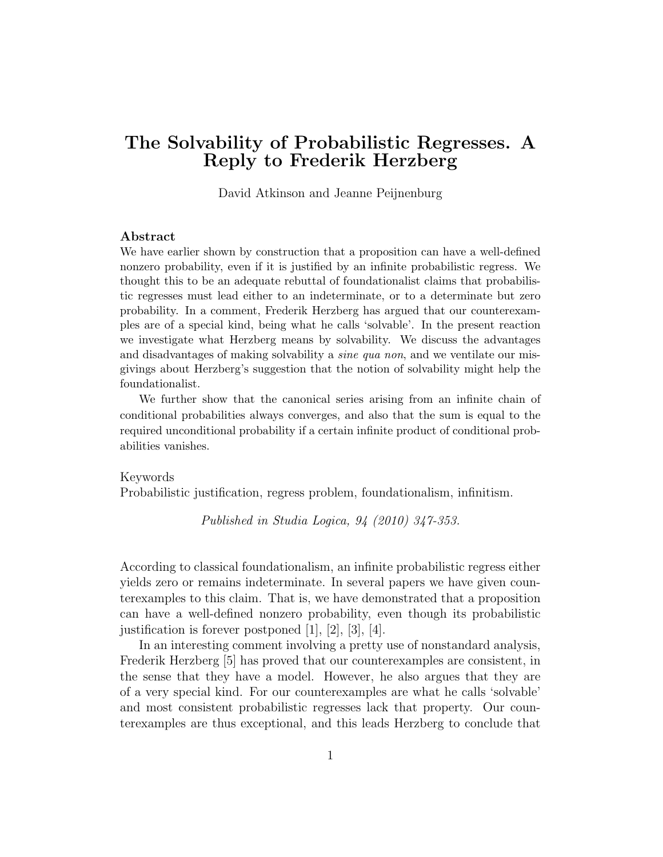# The Solvability of Probabilistic Regresses. A Reply to Frederik Herzberg

David Atkinson and Jeanne Peijnenburg

### Abstract

We have earlier shown by construction that a proposition can have a well-defined nonzero probability, even if it is justified by an infinite probabilistic regress. We thought this to be an adequate rebuttal of foundationalist claims that probabilistic regresses must lead either to an indeterminate, or to a determinate but zero probability. In a comment, Frederik Herzberg has argued that our counterexamples are of a special kind, being what he calls 'solvable'. In the present reaction we investigate what Herzberg means by solvability. We discuss the advantages and disadvantages of making solvability a *sine qua non*, and we ventilate our misgivings about Herzberg's suggestion that the notion of solvability might help the foundationalist.

We further show that the canonical series arising from an infinite chain of conditional probabilities always converges, and also that the sum is equal to the required unconditional probability if a certain infinite product of conditional probabilities vanishes.

#### Keywords

Probabilistic justification, regress problem, foundationalism, infinitism.

Published in Studia Logica, 94 (2010) 347-353.

According to classical foundationalism, an infinite probabilistic regress either yields zero or remains indeterminate. In several papers we have given counterexamples to this claim. That is, we have demonstrated that a proposition can have a well-defined nonzero probability, even though its probabilistic justification is forever postponed [1], [2], [3], [4].

In an interesting comment involving a pretty use of nonstandard analysis, Frederik Herzberg [5] has proved that our counterexamples are consistent, in the sense that they have a model. However, he also argues that they are of a very special kind. For our counterexamples are what he calls 'solvable' and most consistent probabilistic regresses lack that property. Our counterexamples are thus exceptional, and this leads Herzberg to conclude that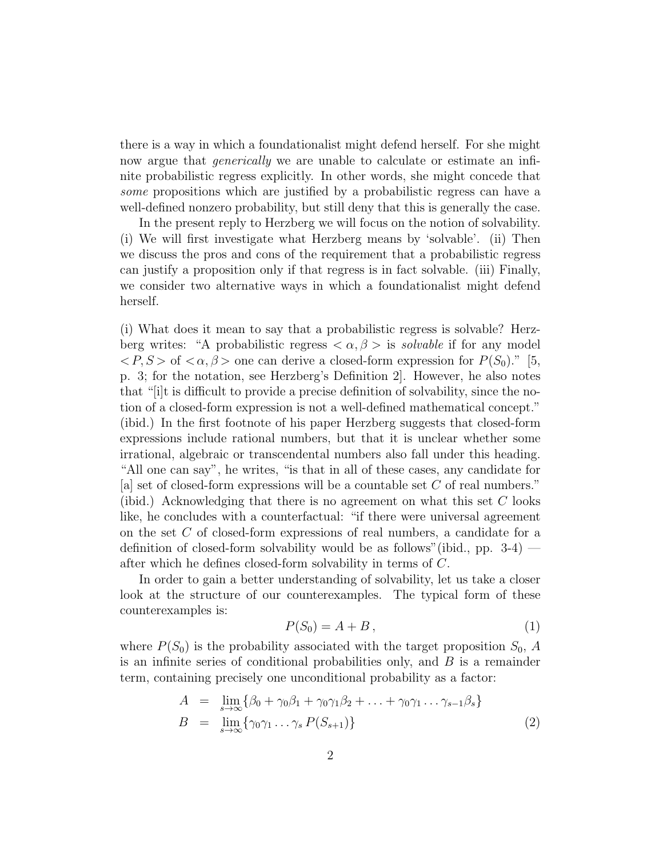there is a way in which a foundationalist might defend herself. For she might now argue that *generically* we are unable to calculate or estimate an infinite probabilistic regress explicitly. In other words, she might concede that some propositions which are justified by a probabilistic regress can have a well-defined nonzero probability, but still deny that this is generally the case.

In the present reply to Herzberg we will focus on the notion of solvability. (i) We will first investigate what Herzberg means by 'solvable'. (ii) Then we discuss the pros and cons of the requirement that a probabilistic regress can justify a proposition only if that regress is in fact solvable. (iii) Finally, we consider two alternative ways in which a foundationalist might defend herself.

(i) What does it mean to say that a probabilistic regress is solvable? Herzberg writes: "A probabilistic regress  $\langle \alpha, \beta \rangle$  is *solvable* if for any model  $\langle P, S \rangle$  of  $\langle \alpha, \beta \rangle$  one can derive a closed-form expression for  $P(S_0)$ ." [5, p. 3; for the notation, see Herzberg's Definition 2]. However, he also notes that "[i]t is difficult to provide a precise definition of solvability, since the notion of a closed-form expression is not a well-defined mathematical concept." (ibid.) In the first footnote of his paper Herzberg suggests that closed-form expressions include rational numbers, but that it is unclear whether some irrational, algebraic or transcendental numbers also fall under this heading. "All one can say", he writes, "is that in all of these cases, any candidate for [a] set of closed-form expressions will be a countable set C of real numbers." (ibid.) Acknowledging that there is no agreement on what this set C looks like, he concludes with a counterfactual: "if there were universal agreement on the set C of closed-form expressions of real numbers, a candidate for a definition of closed-form solvability would be as follows"(ibid., pp. 3-4) after which he defines closed-form solvability in terms of C.

In order to gain a better understanding of solvability, let us take a closer look at the structure of our counterexamples. The typical form of these counterexamples is:

$$
P(S_0) = A + B, \tag{1}
$$

where  $P(S_0)$  is the probability associated with the target proposition  $S_0$ , A is an infinite series of conditional probabilities only, and  $B$  is a remainder term, containing precisely one unconditional probability as a factor:

$$
A = \lim_{s \to \infty} \{ \beta_0 + \gamma_0 \beta_1 + \gamma_0 \gamma_1 \beta_2 + \dots + \gamma_0 \gamma_1 \dots \gamma_{s-1} \beta_s \}
$$
  
\n
$$
B = \lim_{s \to \infty} \{ \gamma_0 \gamma_1 \dots \gamma_s P(S_{s+1}) \}
$$
\n(2)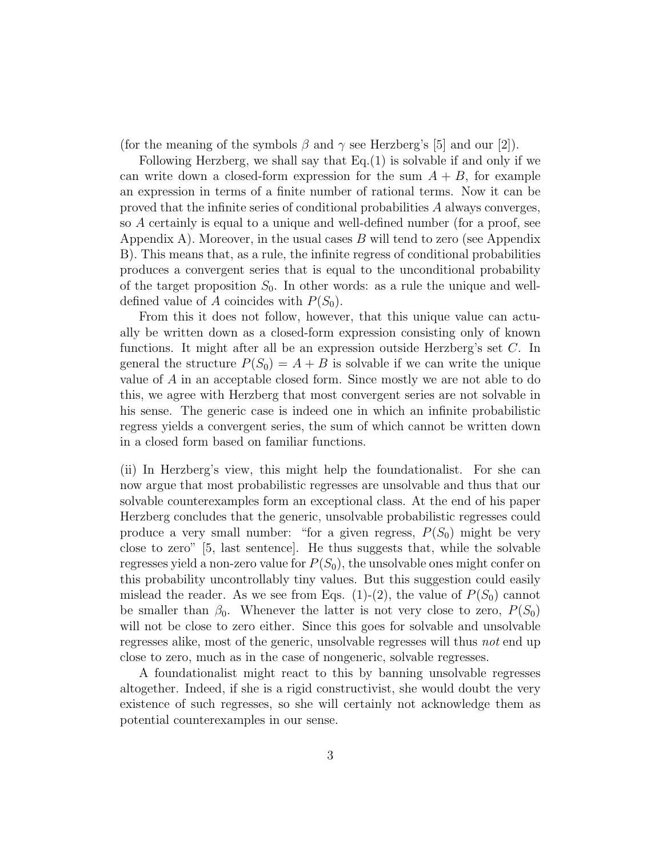(for the meaning of the symbols  $\beta$  and  $\gamma$  see Herzberg's [5] and our [2]).

Following Herzberg, we shall say that Eq.(1) is solvable if and only if we can write down a closed-form expression for the sum  $A + B$ , for example an expression in terms of a finite number of rational terms. Now it can be proved that the infinite series of conditional probabilities A always converges, so A certainly is equal to a unique and well-defined number (for a proof, see Appendix A). Moreover, in the usual cases  $B$  will tend to zero (see Appendix B). This means that, as a rule, the infinite regress of conditional probabilities produces a convergent series that is equal to the unconditional probability of the target proposition  $S_0$ . In other words: as a rule the unique and welldefined value of A coincides with  $P(S_0)$ .

From this it does not follow, however, that this unique value can actually be written down as a closed-form expression consisting only of known functions. It might after all be an expression outside Herzberg's set C. In general the structure  $P(S_0) = A + B$  is solvable if we can write the unique value of A in an acceptable closed form. Since mostly we are not able to do this, we agree with Herzberg that most convergent series are not solvable in his sense. The generic case is indeed one in which an infinite probabilistic regress yields a convergent series, the sum of which cannot be written down in a closed form based on familiar functions.

(ii) In Herzberg's view, this might help the foundationalist. For she can now argue that most probabilistic regresses are unsolvable and thus that our solvable counterexamples form an exceptional class. At the end of his paper Herzberg concludes that the generic, unsolvable probabilistic regresses could produce a very small number: "for a given regress,  $P(S_0)$  might be very close to zero" [5, last sentence]. He thus suggests that, while the solvable regresses yield a non-zero value for  $P(S_0)$ , the unsolvable ones might confer on this probability uncontrollably tiny values. But this suggestion could easily mislead the reader. As we see from Eqs. (1)-(2), the value of  $P(S_0)$  cannot be smaller than  $\beta_0$ . Whenever the latter is not very close to zero,  $P(S_0)$ will not be close to zero either. Since this goes for solvable and unsolvable regresses alike, most of the generic, unsolvable regresses will thus not end up close to zero, much as in the case of nongeneric, solvable regresses.

A foundationalist might react to this by banning unsolvable regresses altogether. Indeed, if she is a rigid constructivist, she would doubt the very existence of such regresses, so she will certainly not acknowledge them as potential counterexamples in our sense.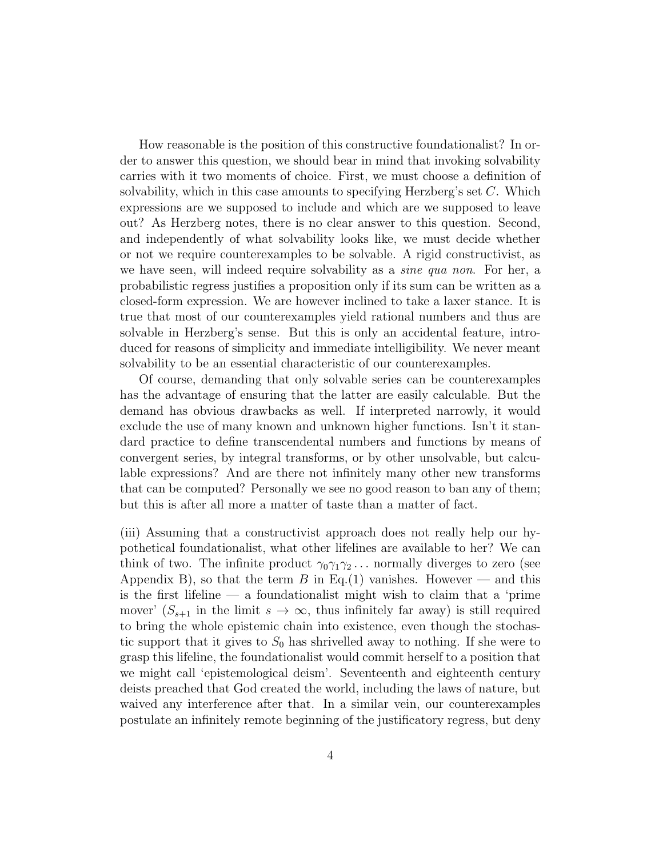How reasonable is the position of this constructive foundationalist? In order to answer this question, we should bear in mind that invoking solvability carries with it two moments of choice. First, we must choose a definition of solvability, which in this case amounts to specifying Herzberg's set C. Which expressions are we supposed to include and which are we supposed to leave out? As Herzberg notes, there is no clear answer to this question. Second, and independently of what solvability looks like, we must decide whether or not we require counterexamples to be solvable. A rigid constructivist, as we have seen, will indeed require solvability as a *sine qua non*. For her, a probabilistic regress justifies a proposition only if its sum can be written as a closed-form expression. We are however inclined to take a laxer stance. It is true that most of our counterexamples yield rational numbers and thus are solvable in Herzberg's sense. But this is only an accidental feature, introduced for reasons of simplicity and immediate intelligibility. We never meant solvability to be an essential characteristic of our counterexamples.

Of course, demanding that only solvable series can be counterexamples has the advantage of ensuring that the latter are easily calculable. But the demand has obvious drawbacks as well. If interpreted narrowly, it would exclude the use of many known and unknown higher functions. Isn't it standard practice to define transcendental numbers and functions by means of convergent series, by integral transforms, or by other unsolvable, but calculable expressions? And are there not infinitely many other new transforms that can be computed? Personally we see no good reason to ban any of them; but this is after all more a matter of taste than a matter of fact.

(iii) Assuming that a constructivist approach does not really help our hypothetical foundationalist, what other lifelines are available to her? We can think of two. The infinite product  $\gamma_0 \gamma_1 \gamma_2 \ldots$  normally diverges to zero (see Appendix B), so that the term B in Eq.(1) vanishes. However — and this is the first lifeline — a foundationalist might wish to claim that a 'prime mover'  $(S_{s+1}$  in the limit  $s \to \infty$ , thus infinitely far away) is still required to bring the whole epistemic chain into existence, even though the stochastic support that it gives to  $S_0$  has shrivelled away to nothing. If she were to grasp this lifeline, the foundationalist would commit herself to a position that we might call 'epistemological deism'. Seventeenth and eighteenth century deists preached that God created the world, including the laws of nature, but waived any interference after that. In a similar vein, our counterexamples postulate an infinitely remote beginning of the justificatory regress, but deny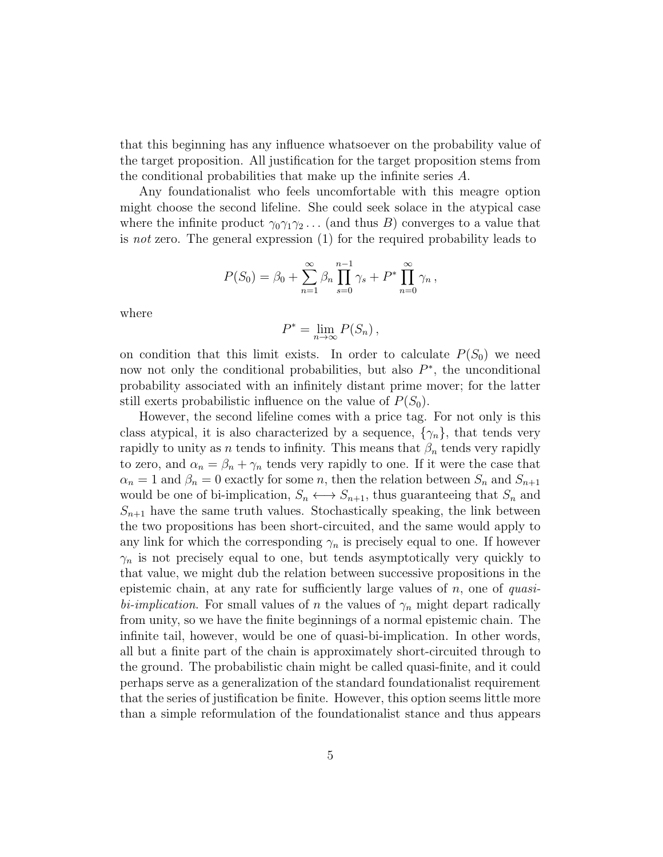that this beginning has any influence whatsoever on the probability value of the target proposition. All justification for the target proposition stems from the conditional probabilities that make up the infinite series A.

Any foundationalist who feels uncomfortable with this meagre option might choose the second lifeline. She could seek solace in the atypical case where the infinite product  $\gamma_0 \gamma_1 \gamma_2 \dots$  (and thus B) converges to a value that is not zero. The general expression (1) for the required probability leads to

$$
P(S_0) = \beta_0 + \sum_{n=1}^{\infty} \beta_n \prod_{s=0}^{n-1} \gamma_s + P^* \prod_{n=0}^{\infty} \gamma_n,
$$

where

$$
P^* = \lim_{n \to \infty} P(S_n) ,
$$

on condition that this limit exists. In order to calculate  $P(S_0)$  we need now not only the conditional probabilities, but also  $P^*$ , the unconditional probability associated with an infinitely distant prime mover; for the latter still exerts probabilistic influence on the value of  $P(S_0)$ .

However, the second lifeline comes with a price tag. For not only is this class atypical, it is also characterized by a sequence,  $\{\gamma_n\}$ , that tends very rapidly to unity as n tends to infinity. This means that  $\beta_n$  tends very rapidly to zero, and  $\alpha_n = \beta_n + \gamma_n$  tends very rapidly to one. If it were the case that  $\alpha_n = 1$  and  $\beta_n = 0$  exactly for some n, then the relation between  $S_n$  and  $S_{n+1}$ would be one of bi-implication,  $S_n \leftrightarrow S_{n+1}$ , thus guaranteeing that  $S_n$  and  $S_{n+1}$  have the same truth values. Stochastically speaking, the link between the two propositions has been short-circuited, and the same would apply to any link for which the corresponding  $\gamma_n$  is precisely equal to one. If however  $\gamma_n$  is not precisely equal to one, but tends asymptotically very quickly to that value, we might dub the relation between successive propositions in the epistemic chain, at any rate for sufficiently large values of  $n$ , one of *quasi*bi-implication. For small values of n the values of  $\gamma_n$  might depart radically from unity, so we have the finite beginnings of a normal epistemic chain. The infinite tail, however, would be one of quasi-bi-implication. In other words, all but a finite part of the chain is approximately short-circuited through to the ground. The probabilistic chain might be called quasi-finite, and it could perhaps serve as a generalization of the standard foundationalist requirement that the series of justification be finite. However, this option seems little more than a simple reformulation of the foundationalist stance and thus appears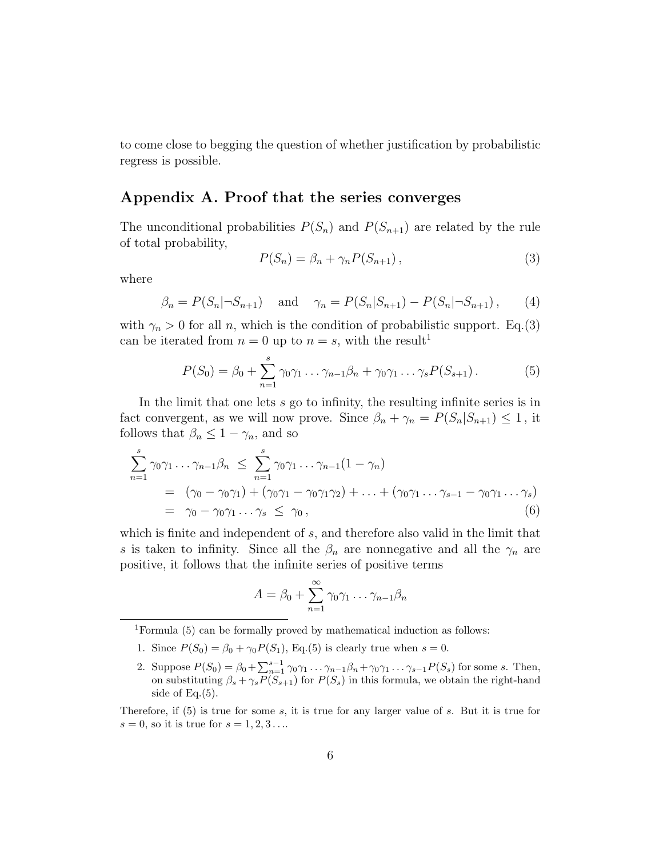to come close to begging the question of whether justification by probabilistic regress is possible.

### Appendix A. Proof that the series converges

The unconditional probabilities  $P(S_n)$  and  $P(S_{n+1})$  are related by the rule of total probability,

$$
P(S_n) = \beta_n + \gamma_n P(S_{n+1}), \qquad (3)
$$

where

$$
\beta_n = P(S_n | \neg S_{n+1})
$$
 and  $\gamma_n = P(S_n | S_{n+1}) - P(S_n | \neg S_{n+1}),$  (4)

with  $\gamma_n > 0$  for all n, which is the condition of probabilistic support. Eq.(3) can be iterated from  $n = 0$  up to  $n = s$ , with the result<sup>1</sup>

$$
P(S_0) = \beta_0 + \sum_{n=1}^{s} \gamma_0 \gamma_1 \dots \gamma_{n-1} \beta_n + \gamma_0 \gamma_1 \dots \gamma_s P(S_{s+1}). \tag{5}
$$

In the limit that one lets s go to infinity, the resulting infinite series is in fact convergent, as we will now prove. Since  $\beta_n + \gamma_n = P(S_n | S_{n+1}) \leq 1$ , it follows that  $\beta_n \leq 1 - \gamma_n$ , and so

$$
\sum_{n=1}^{s} \gamma_0 \gamma_1 \dots \gamma_{n-1} \beta_n \leq \sum_{n=1}^{s} \gamma_0 \gamma_1 \dots \gamma_{n-1} (1 - \gamma_n)
$$
  
= 
$$
(\gamma_0 - \gamma_0 \gamma_1) + (\gamma_0 \gamma_1 - \gamma_0 \gamma_1 \gamma_2) + \dots + (\gamma_0 \gamma_1 \dots \gamma_{s-1} - \gamma_0 \gamma_1 \dots \gamma_s)
$$
  
= 
$$
\gamma_0 - \gamma_0 \gamma_1 \dots \gamma_s \leq \gamma_0,
$$
 (6)

which is finite and independent of s, and therefore also valid in the limit that s is taken to infinity. Since all the  $\beta_n$  are nonnegative and all the  $\gamma_n$  are positive, it follows that the infinite series of positive terms

$$
A = \beta_0 + \sum_{n=1}^{\infty} \gamma_0 \gamma_1 \dots \gamma_{n-1} \beta_n
$$

<sup>1</sup>Formula (5) can be formally proved by mathematical induction as follows:

- 1. Since  $P(S_0) = \beta_0 + \gamma_0 P(S_1)$ , Eq.(5) is clearly true when  $s = 0$ .
- 2. Suppose  $P(S_0) = \beta_0 + \sum_{n=1}^{s-1} \gamma_0 \gamma_1 \dots \gamma_{n-1} \beta_n + \gamma_0 \gamma_1 \dots \gamma_{s-1} P(S_s)$  for some s. Then, on substituting  $\beta_s + \gamma_s P(S_{s+1})$  for  $P(S_s)$  in this formula, we obtain the right-hand side of Eq.(5).

Therefore, if (5) is true for some s, it is true for any larger value of s. But it is true for  $s = 0$ , so it is true for  $s = 1, 2, 3...$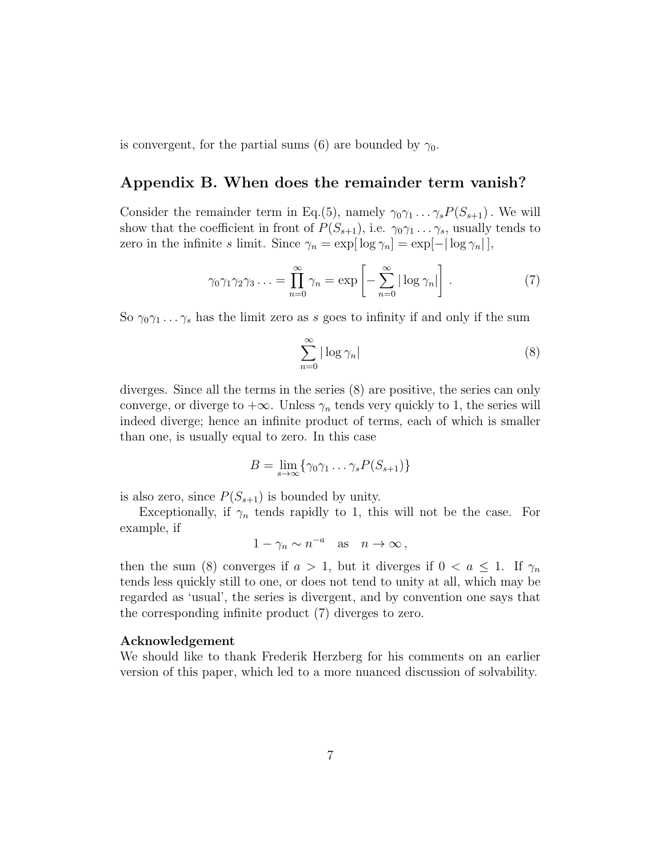is convergent, for the partial sums (6) are bounded by  $\gamma_0$ .

### Appendix B. When does the remainder term vanish?

Consider the remainder term in Eq.(5), namely  $\gamma_0 \gamma_1 \dots \gamma_s P(S_{s+1})$ . We will show that the coefficient in front of  $P(S_{s+1}),$  i.e.  $\gamma_0\gamma_1 \ldots \gamma_s$ , usually tends to zero in the infinite s limit. Since  $\gamma_n = \exp[\log \gamma_n] = \exp[-|\log \gamma_n|],$ 

$$
\gamma_0 \gamma_1 \gamma_2 \gamma_3 \ldots = \prod_{n=0}^{\infty} \gamma_n = \exp \left[ - \sum_{n=0}^{\infty} |\log \gamma_n| \right]. \tag{7}
$$

So  $\gamma_0 \gamma_1 \dots \gamma_s$  has the limit zero as s goes to infinity if and only if the sum

$$
\sum_{n=0}^{\infty} |\log \gamma_n| \tag{8}
$$

diverges. Since all the terms in the series (8) are positive, the series can only converge, or diverge to  $+\infty$ . Unless  $\gamma_n$  tends very quickly to 1, the series will indeed diverge; hence an infinite product of terms, each of which is smaller than one, is usually equal to zero. In this case

$$
B = \lim_{s \to \infty} \{ \gamma_0 \gamma_1 \dots \gamma_s P(S_{s+1}) \}
$$

is also zero, since  $P(S_{s+1})$  is bounded by unity.

Exceptionally, if  $\gamma_n$  tends rapidly to 1, this will not be the case. For example, if

$$
1 - \gamma_n \sim n^{-a}
$$
 as  $n \to \infty$ ,

then the sum (8) converges if  $a > 1$ , but it diverges if  $0 < a \leq 1$ . If  $\gamma_n$ tends less quickly still to one, or does not tend to unity at all, which may be regarded as 'usual', the series is divergent, and by convention one says that the corresponding infinite product (7) diverges to zero.

#### Acknowledgement

We should like to thank Frederik Herzberg for his comments on an earlier version of this paper, which led to a more nuanced discussion of solvability.